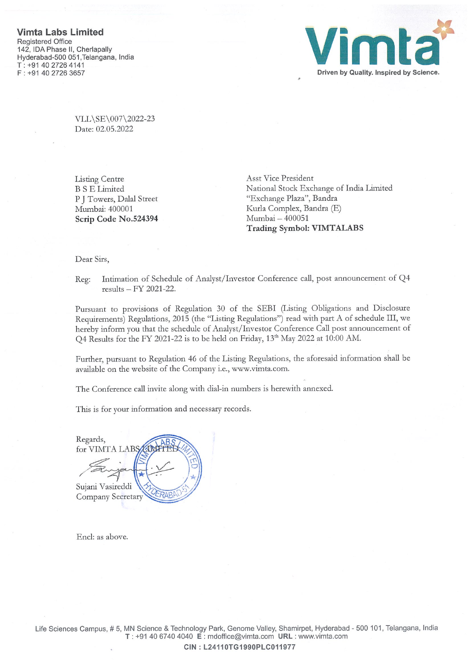

VLL\SE\007\2022-23 Date: 02.05.2022

Listing Centre Asst Vice President Scrip Code No.524394 Mumbai - 400051

B S E Limited National Stock Exchange of India Limited P J Towers, Dalal Street "Exchange Plaza", Bandra Mumbai: 400001 Kurla Complex, Bandra (E) Trading Symbol: VIMTALABS

Dear Sirs,

Reg: Intimation of Schedule of Analyst/Investor Conference call, post announcement of Q4 results — FY 2021-22.

Pursuant to provisions of Regulation 30 of the SEBI (Listing Obligations and Disclosure Requirements) Regulations, 2015 (the "Listing Regulations") read with part A of schedule III, we hereby inform you that the schedule of Analyst/Investor Conference Call post announcement of O4 Results for the FY 2021-22 is to be held on Friday, 13<sup>th</sup> May 2022 at 10:00 AM.

Further, pursuant to Regulation 46 of the Listing Regulations, the aforesaid information shall be available on the website of the Company i.e., www.vimta.com.

The Conference call invite along with dial-in numbers is herewith annexed.

This is for your information and necessary records.

Regards, for VIMTA LABS  $\frac{1}{\sqrt{2}}$ Sujani Vasireddi Company Secretary

End: as above.

Life Sciences Campus, #5, MN Science & Technology Park, Genome Valley, Shamirpet, Hyderabad -500 101, Telangana, India T: +91 40 6740 4040 <sup>E</sup> : mdofflce@vimta.com URL : www.vimta.com

CIN: L24110TG1990PLC011977